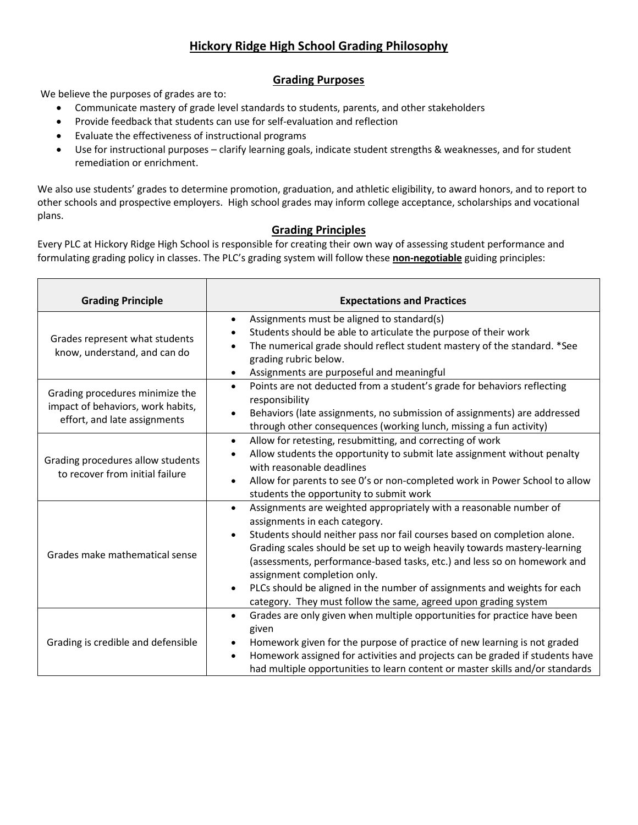# **Hickory Ridge High School Grading Philosophy**

## **Grading Purposes**

We believe the purposes of grades are to:

- Communicate mastery of grade level standards to students, parents, and other stakeholders
- Provide feedback that students can use for self-evaluation and reflection
- Evaluate the effectiveness of instructional programs
- Use for instructional purposes clarify learning goals, indicate student strengths & weaknesses, and for student remediation or enrichment.

We also use students' grades to determine promotion, graduation, and athletic eligibility, to award honors, and to report to other schools and prospective employers. High school grades may inform college acceptance, scholarships and vocational plans.

### **Grading Principles**

Every PLC at Hickory Ridge High School is responsible for creating their own way of assessing student performance and formulating grading policy in classes. The PLC's grading system will follow these **non-negotiable** guiding principles:

| <b>Grading Principle</b>                                                                             | <b>Expectations and Practices</b>                                                                                                                                                                                                                                                                                                                                                                                                                                                                                                                             |  |  |  |
|------------------------------------------------------------------------------------------------------|---------------------------------------------------------------------------------------------------------------------------------------------------------------------------------------------------------------------------------------------------------------------------------------------------------------------------------------------------------------------------------------------------------------------------------------------------------------------------------------------------------------------------------------------------------------|--|--|--|
| Grades represent what students<br>know, understand, and can do                                       | Assignments must be aligned to standard(s)<br>$\bullet$<br>Students should be able to articulate the purpose of their work<br>$\bullet$<br>The numerical grade should reflect student mastery of the standard. *See<br>grading rubric below.<br>Assignments are purposeful and meaningful<br>$\bullet$                                                                                                                                                                                                                                                        |  |  |  |
| Grading procedures minimize the<br>impact of behaviors, work habits,<br>effort, and late assignments | Points are not deducted from a student's grade for behaviors reflecting<br>$\bullet$<br>responsibility<br>Behaviors (late assignments, no submission of assignments) are addressed<br>$\bullet$<br>through other consequences (working lunch, missing a fun activity)                                                                                                                                                                                                                                                                                         |  |  |  |
| Grading procedures allow students<br>to recover from initial failure                                 | Allow for retesting, resubmitting, and correcting of work<br>$\bullet$<br>Allow students the opportunity to submit late assignment without penalty<br>$\bullet$<br>with reasonable deadlines<br>Allow for parents to see O's or non-completed work in Power School to allow<br>$\bullet$<br>students the opportunity to submit work                                                                                                                                                                                                                           |  |  |  |
| Grades make mathematical sense                                                                       | Assignments are weighted appropriately with a reasonable number of<br>$\bullet$<br>assignments in each category.<br>Students should neither pass nor fail courses based on completion alone.<br>$\bullet$<br>Grading scales should be set up to weigh heavily towards mastery-learning<br>(assessments, performance-based tasks, etc.) and less so on homework and<br>assignment completion only.<br>PLCs should be aligned in the number of assignments and weights for each<br>$\bullet$<br>category. They must follow the same, agreed upon grading system |  |  |  |
| Grading is credible and defensible                                                                   | Grades are only given when multiple opportunities for practice have been<br>$\bullet$<br>given<br>Homework given for the purpose of practice of new learning is not graded<br>٠<br>Homework assigned for activities and projects can be graded if students have<br>had multiple opportunities to learn content or master skills and/or standards                                                                                                                                                                                                              |  |  |  |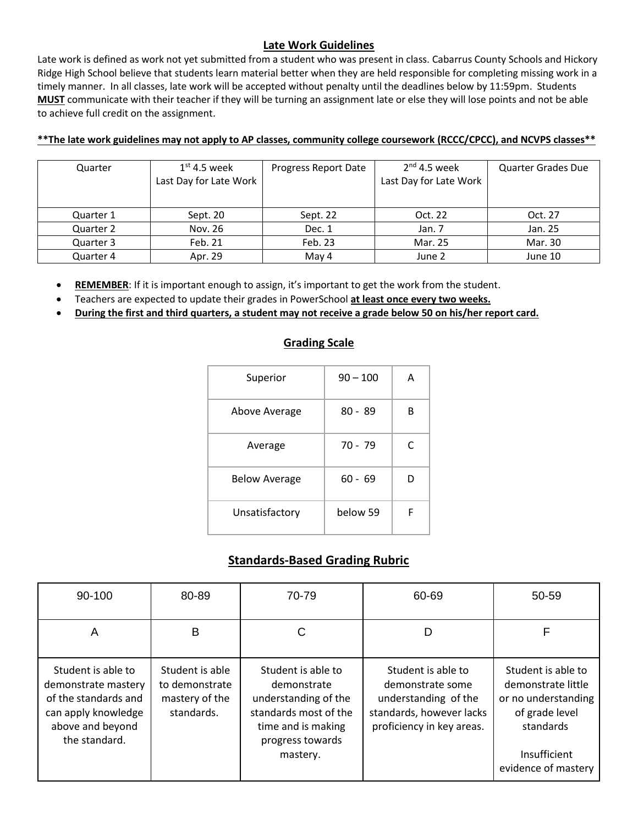## **Late Work Guidelines**

Late work is defined as work not yet submitted from a student who was present in class. Cabarrus County Schools and Hickory Ridge High School believe that students learn material better when they are held responsible for completing missing work in a timely manner. In all classes, late work will be accepted without penalty until the deadlines below by 11:59pm. Students **MUST** communicate with their teacher if they will be turning an assignment late or else they will lose points and not be able to achieve full credit on the assignment.

#### **\*\*The late work guidelines may not apply to AP classes, community college coursework (RCCC/CPCC), and NCVPS classes\*\***

| Quarter   | $1st$ 4.5 week<br>Last Day for Late Work | Progress Report Date | $2nd$ 4.5 week<br>Last Day for Late Work | <b>Quarter Grades Due</b> |
|-----------|------------------------------------------|----------------------|------------------------------------------|---------------------------|
| Quarter 1 | Sept. 20                                 | Sept. 22             | Oct. 22                                  | Oct. 27                   |
| Quarter 2 | Nov. 26                                  | Dec. 1               | Jan. 7                                   | Jan. 25                   |
| Quarter 3 | Feb. 21                                  | Feb. 23              | Mar. 25                                  | Mar. 30                   |
| Quarter 4 | Apr. 29                                  | May 4                | June 2                                   | June 10                   |

• **REMEMBER**: If it is important enough to assign, it's important to get the work from the student.

- Teachers are expected to update their grades in PowerSchool **at least once every two weeks.**
- **During the first and third quarters, a student may not receive a grade below 50 on his/her report card.**

## **Grading Scale**

| Superior             | $90 - 100$ | А |
|----------------------|------------|---|
| Above Average        | $80 - 89$  | R |
| Average              | $70 - 79$  | C |
| <b>Below Average</b> | $60 - 69$  |   |
| Unsatisfactory       | below 59   | F |

## **Standards-Based Grading Rubric**

| 90-100                                                                                                                        | 80-89                                                             | 70-79                                                                                                                        | 60-69                                                                                                                   | 50-59                                                                                          |
|-------------------------------------------------------------------------------------------------------------------------------|-------------------------------------------------------------------|------------------------------------------------------------------------------------------------------------------------------|-------------------------------------------------------------------------------------------------------------------------|------------------------------------------------------------------------------------------------|
| Α                                                                                                                             | B                                                                 |                                                                                                                              | D                                                                                                                       | F                                                                                              |
| Student is able to<br>demonstrate mastery<br>of the standards and<br>can apply knowledge<br>above and beyond<br>the standard. | Student is able<br>to demonstrate<br>mastery of the<br>standards. | Student is able to<br>demonstrate<br>understanding of the<br>standards most of the<br>time and is making<br>progress towards | Student is able to<br>demonstrate some<br>understanding of the<br>standards, however lacks<br>proficiency in key areas. | Student is able to<br>demonstrate little<br>or no understanding<br>of grade level<br>standards |
|                                                                                                                               |                                                                   | mastery.                                                                                                                     |                                                                                                                         | Insufficient<br>evidence of mastery                                                            |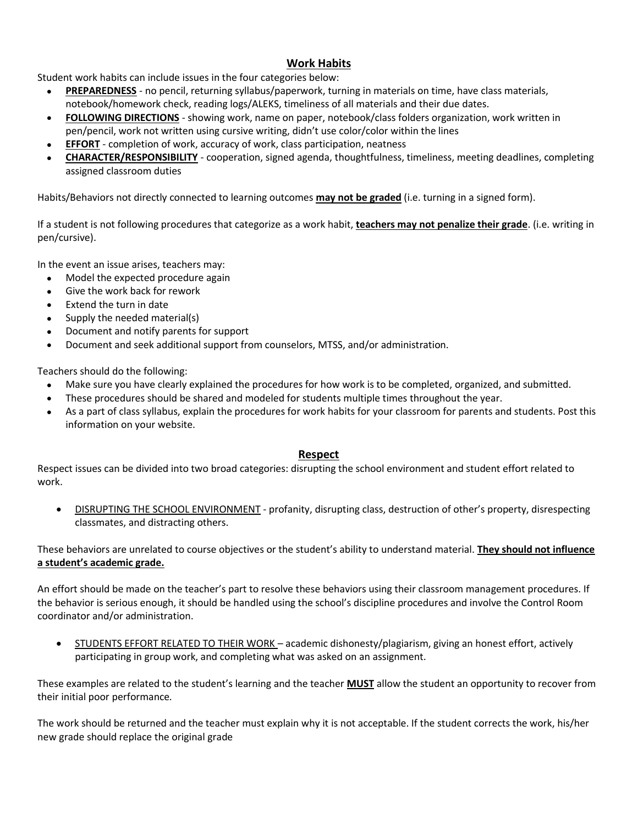## **Work Habits**

Student work habits can include issues in the four categories below:

- **PREPAREDNESS** no pencil, returning syllabus/paperwork, turning in materials on time, have class materials, notebook/homework check, reading logs/ALEKS, timeliness of all materials and their due dates.
- **FOLLOWING DIRECTIONS** showing work, name on paper, notebook/class folders organization, work written in pen/pencil, work not written using cursive writing, didn't use color/color within the lines
- **EFFORT** completion of work, accuracy of work, class participation, neatness
- **CHARACTER/RESPONSIBILITY** cooperation, signed agenda, thoughtfulness, timeliness, meeting deadlines, completing assigned classroom duties

Habits/Behaviors not directly connected to learning outcomes **may not be graded** (i.e. turning in a signed form).

If a student is not following procedures that categorize as a work habit, **teachers may not penalize their grade**. (i.e. writing in pen/cursive).

In the event an issue arises, teachers may:

- Model the expected procedure again
- Give the work back for rework
- Extend the turn in date
- Supply the needed material(s)
- Document and notify parents for support
- Document and seek additional support from counselors, MTSS, and/or administration.

Teachers should do the following:

- Make sure you have clearly explained the procedures for how work is to be completed, organized, and submitted.
- These procedures should be shared and modeled for students multiple times throughout the year.
- As a part of class syllabus, explain the procedures for work habits for your classroom for parents and students. Post this information on your website.

### **Respect**

Respect issues can be divided into two broad categories: disrupting the school environment and student effort related to work.

• DISRUPTING THE SCHOOL ENVIRONMENT - profanity, disrupting class, destruction of other's property, disrespecting classmates, and distracting others.

These behaviors are unrelated to course objectives or the student's ability to understand material. **They should not influence a student's academic grade.**

An effort should be made on the teacher's part to resolve these behaviors using their classroom management procedures. If the behavior is serious enough, it should be handled using the school's discipline procedures and involve the Control Room coordinator and/or administration.

• STUDENTS EFFORT RELATED TO THEIR WORK – academic dishonesty/plagiarism, giving an honest effort, actively participating in group work, and completing what was asked on an assignment.

These examples are related to the student's learning and the teacher **MUST** allow the student an opportunity to recover from their initial poor performance*.*

The work should be returned and the teacher must explain why it is not acceptable. If the student corrects the work, his/her new grade should replace the original grade